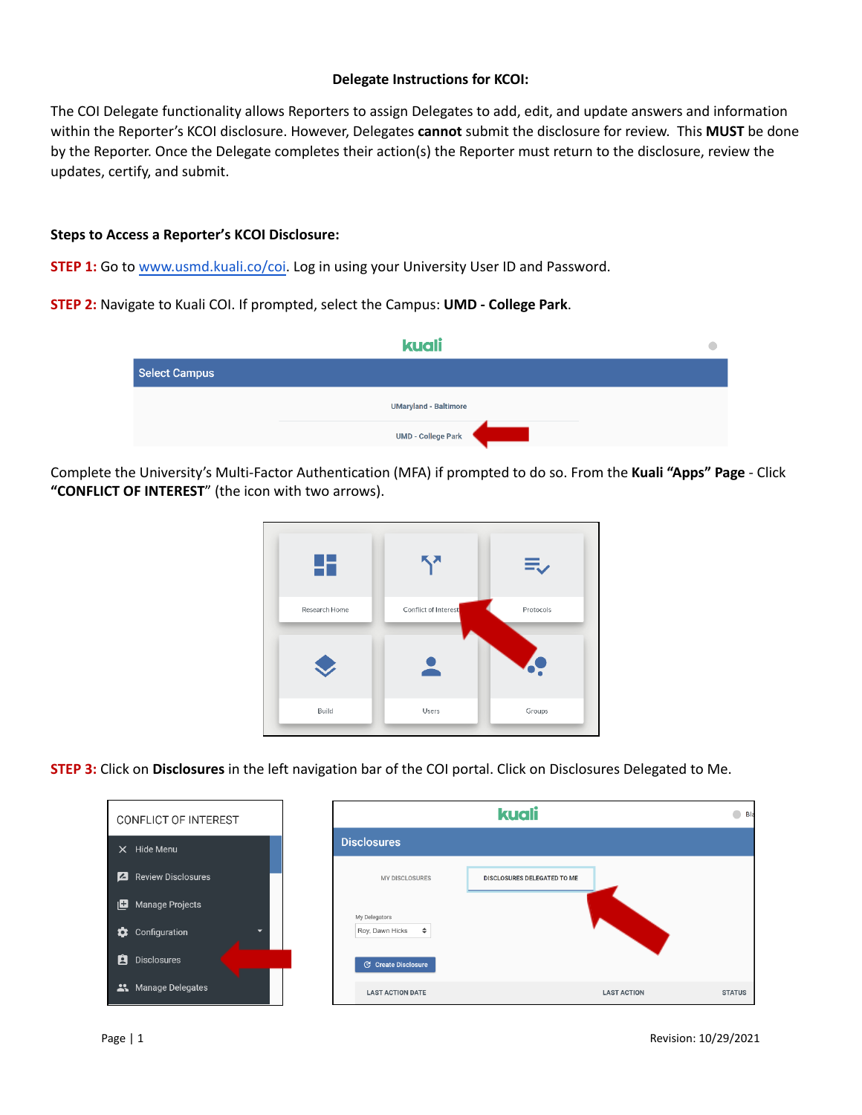## **Delegate Instructions for KCOI:**

The COI Delegate functionality allows Reporters to assign Delegates to add, edit, and update answers and information within the Reporter's KCOI disclosure. However, Delegates **cannot** submit the disclosure for review. This **MUST** be done by the Reporter. Once the Delegate completes their action(s) the Reporter must return to the disclosure, review the updates, certify, and submit.

## **Steps to Access a Reporter's KCOI Disclosure:**

**STEP 1:** Go to [www.usmd.kuali.co](https://usmd.kuali.co/coi/)/coi. Log in using your University User ID and Password.

**STEP 2:** Navigate to Kuali COI. If prompted, select the Campus: **UMD - College Park**.

|                      | kuali                        |  |
|----------------------|------------------------------|--|
| <b>Select Campus</b> |                              |  |
|                      | <b>UMaryland - Baltimore</b> |  |
|                      | UMD - College Park           |  |

Complete the University's Multi-Factor Authentication (MFA) if prompted to do so. From the **Kuali "Apps" Page** - Click **"CONFLICT OF INTEREST**" (the icon with two arrows).



**STEP 3:** Click on **Disclosures** in the left navigation bar of the COI portal. Click on Disclosures Delegated to Me.

| CONFLICT OF INTEREST                           |                            | kuali                       |                    | $\bigcirc$ Bla |
|------------------------------------------------|----------------------------|-----------------------------|--------------------|----------------|
| $X$ Hide Menu                                  | <b>Disclosures</b>         |                             |                    |                |
| Ø<br><b>Review Disclosures</b>                 | MY DISCLOSURES             | DISCLOSURES DELEGATED TO ME |                    |                |
| 旧<br><b>Manage Projects</b>                    | My Delegators              |                             |                    |                |
| ✿<br>Configuration<br>$\overline{\phantom{0}}$ | Roy, Dawn Hicks            | $\div$                      |                    |                |
| Ĥ<br><b>Disclosures</b>                        | <b>C</b> Create Disclosure |                             |                    |                |
| Manage Delegates                               | <b>LAST ACTION DATE</b>    |                             | <b>LAST ACTION</b> | <b>STATUS</b>  |